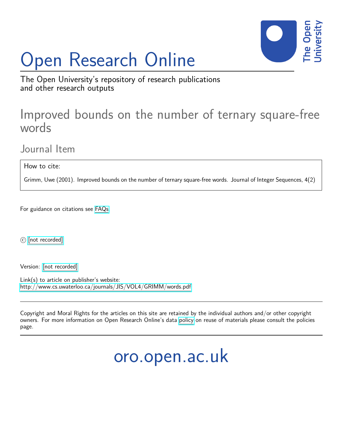# Open Research Online



The Open University's repository of research publications and other research outputs

# Improved bounds on the number of ternary square-free words

Journal Item

How to cite:

Grimm, Uwe (2001). Improved bounds on the number of ternary square-free words. Journal of Integer Sequences, 4(2)

For guidance on citations see [FAQs.](http://oro.open.ac.uk/help/helpfaq.html)

c [\[not recorded\]](http://oro.open.ac.uk/help/helpfaq.html#Unrecorded_information_on_coversheet)

Version: [\[not recorded\]](http://oro.open.ac.uk/help/helpfaq.html#Unrecorded_information_on_coversheet)

Link(s) to article on publisher's website: <http://www.cs.uwaterloo.ca/journals/JIS/VOL4/GRIMM/words.pdf>

Copyright and Moral Rights for the articles on this site are retained by the individual authors and/or other copyright owners. For more information on Open Research Online's data [policy](http://oro.open.ac.uk/policies.html) on reuse of materials please consult the policies page.

oro.open.ac.uk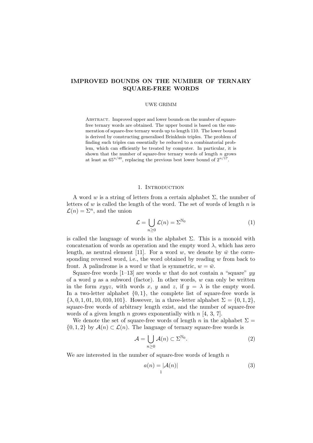# IMPROVED BOUNDS ON THE NUMBER OF TERNARY SQUARE-FREE WORDS

#### UWE GRIMM

ABSTRACT. Improved upper and lower bounds on the number of squarefree ternary words are obtained. The upper bound is based on the enumeration of square-free ternary words up to length 110. The lower bound is derived by constructing generalised Brinkhuis triples. The problem of finding such triples can essentially be reduced to a combinatorial problem, which can efficiently be treated by computer. In particular, it is shown that the number of square-free ternary words of length  $n$  grows at least as  $65^{n/40}$ , replacing the previous best lower bound of  $2^{n/17}$ .

#### 1. INTRODUCTION

A word w is a string of letters from a certain alphabet  $\Sigma$ , the number of letters of  $w$  is called the length of the word. The set of words of length  $n$  is  $\mathcal{L}(n) = \Sigma^n$ , and the union

$$
\mathcal{L} = \bigcup_{n \ge 0} \mathcal{L}(n) = \Sigma^{\mathbb{N}_0} \tag{1}
$$

is called the language of words in the alphabet  $\Sigma$ . This is a monoid with concatenation of words as operation and the empty word  $\lambda$ , which has zero length, as neutral element [11]. For a word w, we denote by  $\bar{w}$  the corresponding reversed word, i.e., the word obtained by reading  $w$  from back to front. A palindrome is a word w that is symmetric,  $w = \bar{w}$ .

Square-free words [1–13] are words w that do not contain a "square"  $yy$ of a word  $y$  as a subword (factor). In other words,  $w$  can only be written in the form xyyz, with words x, y and z, if  $y = \lambda$  is the empty word. In a two-letter alphabet  $\{0, 1\}$ , the complete list of square-free words is  $\{\lambda, 0, 1, 01, 10, 010, 101\}$ . However, in a three-letter alphabet  $\Sigma = \{0, 1, 2\}$ , square-free words of arbitrary length exist, and the number of square-free words of a given length n grows exponentially with  $n \neq 4, 3, 7$ .

We denote the set of square-free words of length n in the alphabet  $\Sigma =$  $\{0, 1, 2\}$  by  $\mathcal{A}(n) \subset \mathcal{L}(n)$ . The language of ternary square-free words is

$$
\mathcal{A} = \bigcup_{n \ge 0} \mathcal{A}(n) \subset \Sigma^{\mathbb{N}_0}.
$$
 (2)

We are interested in the number of square-free words of length  $n$ 

$$
a(n) = |\mathcal{A}(n)| \tag{3}
$$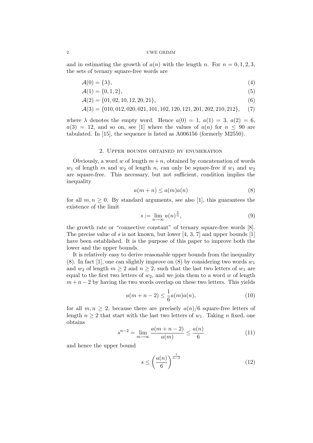and in estimating the growth of  $a(n)$  with the length n. For  $n = 0, 1, 2, 3$ , the sets of ternary square-free words are

$$
\mathcal{A}(0) = \{\lambda\},\tag{4}
$$

$$
\mathcal{A}(1) = \{0, 1, 2\},\tag{5}
$$

 $\mathcal{A}(2) = \{01, 02, 10, 12, 20, 21\},\tag{6}$ 

A(3) = {010, 012, 020, 021, 101, 102, 120, 121, 201, 202, 210, 212}, (7)

where  $\lambda$  denotes the empty word. Hence  $a(0) = 1, a(1) = 3, a(2) = 6,$  $a(3) = 12$ , and so on, see [1] where the values of  $a(n)$  for  $n \leq 90$  are tabulated. In  $|15|$ , the sequence is listed as  $A006156$  (formerly M2550).

#### 2. Upper bounds obtained by enumeration

Obviously, a word w of length  $m+n$ , obtained by concatenation of words  $w_1$  of length m and  $w_2$  of length n, can only be square-free if  $w_1$  and  $w_2$ are square-free. This necessary, but not sufficient, condition implies the inequality

$$
a(m+n) \le a(m)a(n) \tag{8}
$$

for all  $m, n \geq 0$ . By standard arguments, see also [1], this guarantees the existence of the limit

$$
s := \lim_{n \to \infty} a(n)^{\frac{1}{n}},\tag{9}
$$

the growth rate or "connective constant" of ternary square-free words [8]. The precise value of s is not known, but lower  $[4, 3, 7]$  and upper bounds  $[1]$ have been established. It is the purpose of this paper to improve both the lower and the upper bounds.

It is relatively easy to derive reasonable upper bounds from the inequality (8). In fact [1], one can slightly improve on (8) by considering two words  $w_1$ and  $w_2$  of length  $m \geq 2$  and  $n \geq 2$ , such that the last two letters of  $w_1$  are equal to the first two letters of  $w_2$ , and we join them to a word w of length  $m + n - 2$  by having the two words overlap on these two letters. This yields

$$
a(m+n-2) \le \frac{1}{6}a(m)a(n),
$$
\n(10)

for all  $m, n \geq 2$ , because there are precisely  $a(n)/6$  square-free letters of length  $n \geq 2$  that start with the last two letters of  $w_1$ . Taking n fixed, one obtains

$$
s^{n-2} = \lim_{m \to \infty} \frac{a(m+n-2)}{a(m)} \le \frac{a(n)}{6}
$$
 (11)

and hence the upper bound

$$
s \le \left(\frac{a(n)}{6}\right)^{\frac{1}{n-2}}\tag{12}
$$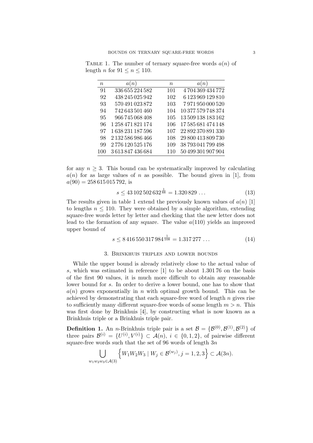| $\boldsymbol{n}$ | a(n)              | $\boldsymbol{n}$ | a(n)               |
|------------------|-------------------|------------------|--------------------|
| 91               | 336 655 224 582   | 101              | 4 704 369 434 772  |
| 92               | 438 245 025 942   | 102              | 6 123 969 129 810  |
| 93               | 570 491 023 872   | 103              | 7971950000520      |
| 94               | 742 643 501 460   | 104              | 10 377 579 748 374 |
| 95               | 966 745 068 408   | 105              | 13 509 138 183 162 |
| 96               | 1 258 471 821 174 | 106              | 17585681474148     |
| 97               | 1 638 231 187 596 | 107              | 22 892 370 891 330 |
| 98               | 2 132 586 986 466 | 108              | 29 800 413 809 730 |
| 99               | 2776120525176     | 109              | 38793041799498     |
| 100              | 3613847436684     | 110              | 50 499 301 907 904 |

TABLE 1. The number of ternary square-free words  $a(n)$  of length *n* for  $91 \le n \le 110$ .

for any  $n \geq 3$ . This bound can be systematically improved by calculating  $a(n)$  for as large values of n as possible. The bound given in [1], from  $a(90) = 258615015792$ , is

$$
s \le 43\,102\,502\,632^{\frac{1}{88}} = 1.320\,829\,\ldots\tag{13}
$$

The results given in table 1 extend the previously known values of  $a(n)$  [1] to lengths  $n \leq 110$ . They were obtained by a simple algorithm, extending square-free words letter by letter and checking that the new letter does not lead to the formation of any square. The value  $a(110)$  yields an improved upper bound of

$$
s \le 8\,416\,550\,317\,984^{\frac{1}{108}} = 1.317\,277\,\ldots\tag{14}
$$

#### 3. Brinkhuis triples and lower bounds

While the upper bound is already relatively close to the actual value of s, which was estimated in reference [1] to be about 1.301 76 on the basis of the first 90 values, it is much more difficult to obtain any reasonable lower bound for s. In order to derive a lower bound, one has to show that  $a(n)$  grows exponentially in n with optimal growth bound. This can be achieved by demonstrating that each square-free word of length  $n$  gives rise to sufficiently many different square-free words of some length  $m > n$ . This was first done by Brinkhuis [4], by constructing what is now known as a Brinkhuis triple or a Brinkhuis triple pair.

**Definition 1.** An *n*-Brinkhuis triple pair is a set  $\mathcal{B} = {\mathcal{B}^{(0)}, \mathcal{B}^{(1)}, \mathcal{B}^{(2)}}$  of three pairs  $\mathcal{B}^{(i)} = \{U^{(i)}, V^{(i)}\} \subset \mathcal{A}(n), i \in \{0,1,2\},\$  of pairwise different square-free words such that the set of 96 words of length  $3n$ 

$$
\bigcup_{w_1w_2w_3\in\mathcal{A}(3)}\left\{W_1W_2W_3\mid W_j\in\mathcal{B}^{(w_j)}, j=1,2,3\right\}\subset\mathcal{A}(3n).
$$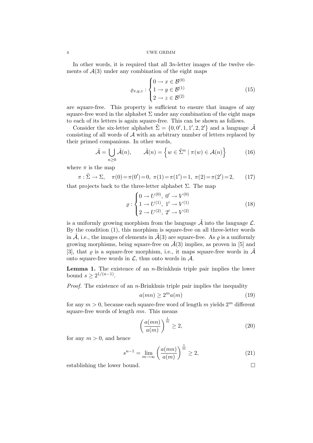In other words, it is required that all  $3n$ -letter images of the twelve elements of  $\mathcal{A}(3)$  under any combination of the eight maps

$$
\varrho_{x,y,z}: \begin{cases} 0 \to x \in \mathcal{B}^{(0)} \\ 1 \to y \in \mathcal{B}^{(1)} \\ 2 \to z \in \mathcal{B}^{(2)} \end{cases}
$$
(15)

are square-free. This property is sufficient to ensure that images of any square-free word in the alphabet  $\Sigma$  under any combination of the eight maps to each of its letters is again square-free. This can be shown as follows.

Consider the six-letter alphabet  $\tilde{\Sigma} = \{0, 0', 1, 1', 2, 2'\}$  and a language  $\tilde{\mathcal{A}}$ consisting of all words of A with an arbitrary number of letters replaced by their primed companions. In other words,

$$
\tilde{\mathcal{A}} = \bigcup_{n \ge 0} \tilde{\mathcal{A}}(n), \qquad \tilde{\mathcal{A}}(n) = \left\{ w \in \tilde{\Sigma}^n \mid \pi(w) \in \mathcal{A}(n) \right\} \tag{16}
$$

where  $\pi$  is the map

$$
\pi: \tilde{\Sigma} \to \Sigma, \quad \pi(0) = \pi(0') = 0, \ \pi(1) = \pi(1') = 1, \ \pi(2) = \pi(2') = 2, \tag{17}
$$

that projects back to the three-letter alphabet  $\Sigma$ . The map

$$
\varrho : \begin{cases} 0 \to U^{(0)}, \ 0' \to V^{(0)} \\ 1 \to U^{(1)}, \ 1' \to V^{(1)} \\ 2 \to U^{(2)}, \ 2' \to V^{(2)} \end{cases}
$$
(18)

is a uniformly growing morphism from the language  $\tilde{\mathcal{A}}$  into the language  $\mathcal{L}$ . By the condition (1), this morphism is square-free on all three-letter words in  $\tilde{\mathcal{A}}$ , i.e., the images of elements in  $\tilde{\mathcal{A}}(3)$  are square-free. As  $\rho$  is a uniformly growing morphisms, being square-free on  $\tilde{\mathcal{A}}(3)$  implies, as proven in [5] and [3], that  $\rho$  is a square-free morphism, i.e., it maps square-free words in  $\tilde{\mathcal{A}}$ onto square-free words in  $\mathcal{L}$ , thus onto words in  $\mathcal{A}$ .

**Lemma 1.** The existence of an  $n$ -Brinkhuis triple pair implies the lower bound  $s \geq 2^{1/(n-1)}$ .

*Proof.* The existence of an *n*-Brinkhuis triple pair implies the inequality

$$
a(mn) \ge 2^m a(m) \tag{19}
$$

for any  $m > 0$ , because each square-free word of length m yields  $2<sup>m</sup>$  different square-free words of length mn. This means

$$
\left(\frac{a(mn)}{a(m)}\right)^{\frac{1}{m}} \ge 2, \tag{20}
$$

for any  $m > 0$ , and hence

$$
s^{n-1} = \lim_{m \to \infty} \left( \frac{a(mn)}{a(m)} \right)^{\frac{1}{m}} \ge 2,
$$
 (21)

establishing the lower bound.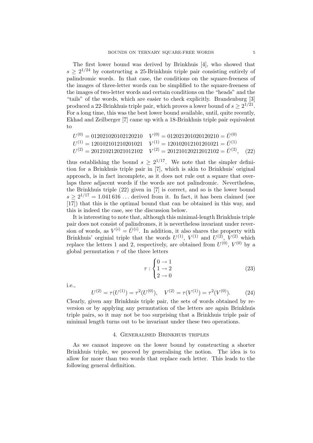The first lower bound was derived by Brinkhuis [4], who showed that  $s \geq 2^{1/24}$  by constructing a 25-Brinkhuis triple pair consisting entirely of palindromic words. In that case, the conditions on the square-freeness of the images of three-letter words can be simplified to the square-freeness of the images of two-letter words and certain conditions on the "heads" and the "tails" of the words, which are easier to check explicitly. Brandenburg [3] produced a 22-Brinkhuis triple pair, which proves a lower bound of  $s \geq 2^{1/21}$ . For a long time, this was the best lower bound available, until, quite recently, Ekhad and Zeilberger [7] came up with a 18-Brinkhuis triple pair equivalent to

$$
U^{(0)} = 012021020102120210 \t V^{(0)} = 012021201020120210 = \bar{U}^{(0)}
$$
  
\n
$$
U^{(1)} = 120102101210201021 \t V^{(1)} = 120102012101201021 = \bar{U}^{(1)}
$$
  
\n
$$
U^{(2)} = 201210212021012102 \t V^{(2)} = 201210120212012102 = \bar{U}^{(2)}, \t (22)
$$

thus establishing the bound  $s \geq 2^{1/17}$ . We note that the simpler definition for a Brinkhuis triple pair in [7], which is akin to Brinkhuis' original approach, is in fact incomplete, as it does not rule out a square that overlaps three adjacent words if the words are not palindromic. Nevertheless, the Brinkhuis triple (22) given in [7] is correct, and so is the lower bound  $s \geq 2^{1/17} = 1.041616...$  derived from it. In fact, it has been claimed (see [17]) that this is the optimal bound that can be obtained in this way, and this is indeed the case, see the discussion below.

It is interesting to note that, although this minimal-length Brinkhuis triple pair does not consist of palindromes, it is nevertheless invariant under reversion of words, as  $V^{(i)} = \overline{U}^{(i)}$ . In addition, it also shares the property with Brinkhuis' orginial triple that the words  $U^{(1)}$ ,  $V^{(1)}$  and  $U^{(2)}$ ,  $V^{(2)}$  which replace the letters 1 and 2, respectively, are obtained from  $U^{(0)}$ ,  $V^{(0)}$  by a global permutation  $\tau$  of the three letters

$$
\tau : \begin{cases} 0 \to 1 \\ 1 \to 2 \\ 2 \to 0 \end{cases}
$$
 (23)

i.e.,

$$
U^{(2)} = \tau(U^{(1)}) = \tau^2(U^{(0)}), \quad V^{(2)} = \tau(V^{(1)}) = \tau^2(V^{(0)}).
$$
 (24)

Clearly, given any Brinkhuis triple pair, the sets of words obtained by reversion or by applying any permutation of the letters are again Brinkhuis triple pairs, so it may not be too surprising that a Brinkhuis triple pair of minimal length turns out to be invariant under these two operations.

#### 4. Generalised Brinkhuis triples

As we cannot improve on the lower bound by constructing a shorter Brinkhuis triple, we proceed by generalising the notion. The idea is to allow for more than two words that replace each letter. This leads to the following general definition.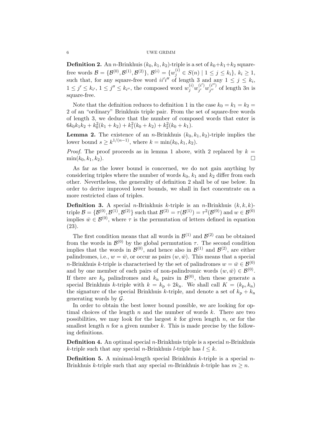**Definition 2.** An *n*-Brinkhuis  $(k_0, k_1, k_2)$ -triple is a set of  $k_0+k_1+k_2$  squarefree words  $\mathcal{B} = \{ \mathcal{B}^{(0)}, \mathcal{B}^{(1)}, \mathcal{B}^{(2)} \}, \ \mathcal{B}^{(i)} = \{ w_j^{(i)} \in S(n) \mid 1 \le j \le k_i \}, \ k_i \ge 1,$ such that, for any square-free word  $ii'i''$  of length 3 and any  $1 \leq j \leq k_i$ ,  $1 \leq j' \leq k_{i'}$ ,  $1 \leq j'' \leq k_{i''}$ , the composed word  $w_j^{(i)} w_{j'}^{(i')}$  $j' \choose j' \, w \, j'' \, j''$  $j''$  of length 3n is square-free.

Note that the definition reduces to definition 1 in the case  $k_0 = k_1 = k_2 =$ 2 of an "ordinary" Brinkhuis triple pair. From the set of square-free words of length 3, we deduce that the number of composed words that enter is  $6k_0k_1k_2 + k_0^2(k_1 + k_2) + k_1^2(k_0 + k_2) + k_2^2(k_0 + k_1).$ 

**Lemma 2.** The existence of an *n*-Brinkhuis  $(k_0, k_1, k_2)$ -triple implies the lower bound  $s \geq k^{1/(n-1)}$ , where  $k = \min(k_0, k_1, k_2)$ .

*Proof.* The proof proceeds as in lemma 1 above, with 2 replaced by  $k =$  $\min(k_0, k_1, k_2).$ 

As far as the lower bound is concerned, we do not gain anything by considering triples where the number of words  $k_0$ ,  $k_1$  and  $k_2$  differ from each other. Nevertheless, the generality of definition 2 shall be of use below. In order to derive improved lower bounds, we shall in fact concentrate on a more restricted class of triples.

**Definition 3.** A special *n*-Brinkhuis *k*-triple is an *n*-Brinkhuis  $(k, k, k)$ - $\text{triple}\ \mathcal{B}=\{\mathcal{B}^{(0)},\mathcal{B}^{(1)},\mathcal{B}^{(2)}\}\ \text{such that}\ \mathcal{B}^{(2)}=\tau(\mathcal{B}^{(1)})=\tau^2(\mathcal{B}^{(0)})\ \text{and}\ w\in\mathcal{B}^{(0)}$ implies  $\bar{w} \in \mathcal{B}^{(0)}$ , where  $\tau$  is the permutation of letters defined in equation (23).

The first condition means that all words in  $\mathcal{B}^{(1)}$  and  $\mathcal{B}^{(2)}$  can be obtained from the words in  $\mathcal{B}^{(0)}$  by the global permutation  $\tau$ . The second condition implies that the words in  $\mathcal{B}^{(0)}$ , and hence also in  $\mathcal{B}^{(1)}$  and  $\mathcal{B}^{(2)}$ , are either palindromes, i.e.,  $w = \bar{w}$ , or occur as pairs  $(w, \bar{w})$ . This means that a special *n*-Brinkhuis *k*-triple is characterised by the set of palindromes  $w = \bar{w} \in \mathcal{B}^{(0)}$ and by one member of each pairs of non-palindromic words  $(w, \bar{w}) \in \mathcal{B}^{(0)}$ . If there are  $k_p$  palindromes and  $k_n$  pairs in  $\mathcal{B}^{(0)}$ , then these generate a special Brinkhuis k-triple with  $k = k_p + 2k_n$ . We shall call  $K = (k_p, k_n)$ the signature of the special Brinkhuis k-triple, and denote a set of  $k_p + k_n$ generating words by  $\mathcal{G}$ .

In order to obtain the best lower bound possible, we are looking for optimal choices of the length n and the number of words  $k$ . There are two possibilities, we may look for the largest  $k$  for given length  $n$ , or for the smallest length  $n$  for a given number  $k$ . This is made precise by the following definitions.

**Definition 4.** An optimal special *n*-Brinkhuis triple is a special *n*-Brinkhuis k-triple such that any special *n*-Brinkhuis *l*-triple has  $l \leq k$ .

**Definition 5.** A minimal-length special Brinkhuis  $k$ -triple is a special  $n$ -Brinkhuis k-triple such that any special m-Brinkhuis k-triple has  $m \geq n$ .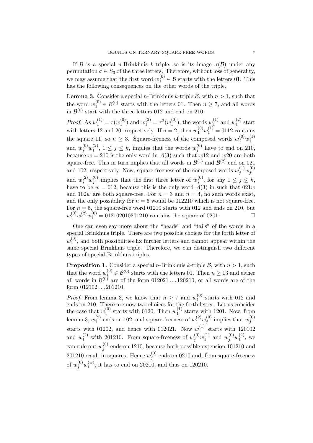If B is a special *n*-Brinkhuis k-triple, so is its image  $\sigma(\mathcal{B})$  under any permutation  $\sigma \in S_3$  of the three letters. Therefore, without loss of generality, we may assume that the first word  $w_1^{(0)} \in \mathcal{B}$  starts with the letters 01. This has the following consequences on the other words of the triple.

**Lemma 3.** Consider a special *n*-Brinkhuis *k*-triple  $\beta$ , with  $n > 1$ , such that the word  $w_1^{(0)} \in \mathcal{B}^{(0)}$  starts with the letters 01. Then  $n \geq 7$ , and all words in  $\mathcal{B}^{(0)}$  start with the three letters 012 and end on 210.

*Proof.* As  $w_1^{(1)} = \tau(w_1^{(0)})$  $y_1^{(0)}$  and  $w_1^{(2)} = \tau^2(w_1^{(0)})$  $\binom{0}{1}$ , the words  $w_1^{(1)}$  $_1^{(1)}$  and  $w_1^{(2)}$  $1^{(2)}$  start with letters 12 and 20, respectively. If  $n = 2$ , then  $w_1^{(0)}w_1^{(1)} = 0112$  contains the square 11, so  $n \geq 3$ . Square-freeness of the composed words  $w_j^{(0)}w_1^{(1)}$ 1 and  $w_j^{(0)}w_1^{(2)}$  $\binom{2}{1}, 1 \leq j \leq k$ , implies that the words  $w_j^{(0)}$  $j^{(0)}$  have to end on 210, because  $w = 210$  is the only word in  $\mathcal{A}(3)$  such that  $w12$  and  $w20$  are both square-free. This in turn implies that all words in  $\mathcal{B}^{(1)}$  and  $\mathcal{B}^{(2)}$  end on 021 and 102, respectively. Now, square-freeness of the composed words  $w_j^{(1)}w_{j'}^{(0)}$  $\hat{j'}$ and  $w_j^{(2)}w_{j'}^{(0)}$  $j'$  implies that the first three letter of  $w_j^{(0)}$  $j^{(0)}$ , for any  $1 \leq j \leq k$ , have to be  $w = 012$ , because this is the only word  $A(3)$  in such that  $021w$ and  $102w$  are both square-free. For  $n = 3$  and  $n = 4$ , no such words exist, and the only possibility for  $n = 6$  would be 012210 which is not square-free. For  $n = 5$ , the square-free word 01210 starts with 012 and ends on 210, but  $w_1^{(0)}w_1^{(2)}w_1^{(0)} = 012102010201210$  contains the square of 0201.

One can even say more about the "heads" and "tails" of the words in a special Brinkhuis triple. There are two possible choices for the forth letter of  $w_1^{(0)}$  $1<sup>(0)</sup>$ , and both possibilities fix further letters and cannot appear within the same special Brinkhuis triple. Therefore, we can distinguish two different types of special Brinkhuis triples.

**Proposition 1.** Consider a special *n*-Brinkhuis *k*-triple  $\beta$ , with  $n > 1$ , such that the word  $w_1^{(0)} \in \mathcal{B}^{(0)}$  starts with the letters 01. Then  $n \geq 13$  and either all words in  $\mathcal{B}^{(0)}$  are of the form  $012021...120210$ , or all words are of the form 012102 . . . 201210.

*Proof.* From lemma 3, we know that  $n \geq 7$  and  $w_1^{(0)}$  $_1^{\text{(0)}}$  starts with 012 and ends on 210. There are now two choices for the forth letter. Let us consider the case that  $w_1^{(0)}$  $_1^{(0)}$  starts with 0120. Then  $w_1^{(1)}$  $_1^{(1)}$  starts with 1201. Now, from lemma 3,  $w_1^{(2)}$  $\binom{2}{1}$  ends on 102, and square-freeness of  $w_1^{(2)}w_j^{(0)}$  $j^{(0)}$  implies that  $w_j^{(0)}$ j starts with 01202, and hence with 012021. Now  $w_1^{(1)}$  $_1^{(1)}$  starts with 120102 and  $w_1^{(2)}$  with 201210. From square-freeness of  $w_j^{(0)}w_1^{(1)}$  $y_1^{(1)}$  and  $w_j^{(0)}w_1^{(2)}$  $\binom{1}{1}$ , we can rule out  $w_i^{(0)}$  $j^{(0)}$  ends on 1210, because both possible extension 101210 and 201210 result in squares. Hence  $w_i^{(0)}$  $j_j^{(0)}$  ends on 0210 and, from square-freeness of  $w_j^{(0)}w_1^{(w)}$  $\binom{w}{1}$ , it has to end on 20210, and thus on 120210.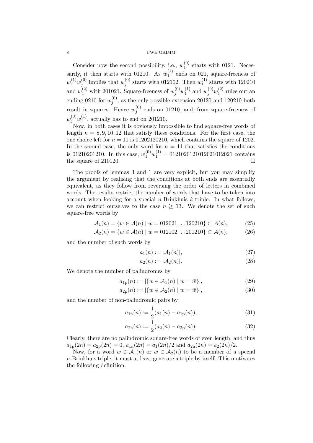Consider now the second possibility, i.e.,  $w_1^{(0)}$  $_1^{(0)}$  starts with 0121. Necessarily, it then starts with 01210. As  $w_1^{(1)}$  $_1^{(1)}$  ends on 021, square-freeness of  $w_1^{(1)}w_j^{(0)}$  $j^{(0)}$  implies that  $w_j^{(0)}$  $j^{(0)}$  starts with 012102. Then  $w_1^{(1)}$  $_1^{(1)}$  starts with 120210 and  $w_1^{(2)}$  with 201021. Square-freeness of  $w_j^{(0)}w_1^{(1)}$  $y_1^{(1)}$  and  $w_j^{(0)}w_1^{(2)}$  $_1^{(2)}$  rules out an ending 0210 for  $w_i^{(0)}$  $j^{(0)}$ , as the only possible extension 20120 and 120210 both result in squares. Hence  $w_i^{(0)}$  $j^{(0)}$  ends on 01210, and, from square-freeness of  $w_j^{(0)}w_1^{(1)}$  $_1^{(1)}$ , actually has to end on 201210.

Now, in both cases it is obviously impossible to find square-free words of length  $n = 8, 9, 10, 12$  that satisfy these conditions. For the first case, the one choice left for  $n = 11$  is 01202120210, which contains the square of 1202. In the second case, the only word for  $n = 11$  that satisfies the conditions is 01210201210. In this case,  $w_1^{(0)}w_1^{(1)} = 0121020121012021012021$  contains the square of 210120.

The proofs of lemmas 3 and 1 are very explicit, but you may simplify the argument by realising that the conditions at both ends are essentially equivalent, as they follow from reversing the order of letters in combined words. The results restrict the number of words that have to be taken into account when looking for a special *n*-Brinkhuis  $k$ -triple. In what follows, we can restrict ourselves to the case  $n \geq 13$ . We denote the set of such square-free words by

$$
\mathcal{A}_1(n) = \{ w \in \mathcal{A}(n) \mid w = 012021 \dots 120210 \} \subset \mathcal{A}(n), \tag{25}
$$

$$
\mathcal{A}_2(n) = \{ w \in \mathcal{A}(n) \mid w = 012102 \dots 201210 \} \subset \mathcal{A}(n), \tag{26}
$$

and the number of such words by

$$
a_1(n) := |\mathcal{A}_1(n)|,\tag{27}
$$

$$
a_2(n) := |\mathcal{A}_2(n)|.\tag{28}
$$

We denote the number of palindromes by

$$
a_{1p}(n) := |\{w \in \mathcal{A}_1(n) \mid w = \bar{w}\}|,\tag{29}
$$

$$
a_{2p}(n) := |\{w \in \mathcal{A}_2(n) \mid w = \bar{w}\}|,
$$
\n(30)

and the number of non-palindromic pairs by

$$
a_{1n}(n) := \frac{1}{2}(a_1(n) - a_{1p}(n)),
$$
\n(31)

$$
a_{2n}(n) := \frac{1}{2}(a_2(n) - a_{2p}(n)).
$$
\n(32)

Clearly, there are no palindromic square-free words of even length, and thus  $a_{1p}(2n) = a_{2p}(2n) = 0$ ,  $a_{1n}(2n) = a_1(2n)/2$  and  $a_{2n}(2n) = a_2(2n)/2$ .

Now, for a word  $w \in \mathcal{A}_1(n)$  or  $w \in \mathcal{A}_2(n)$  to be a member of a special  $n$ -Brinkhuis triple, it must at least generate a triple by itself. This motivates the following definition.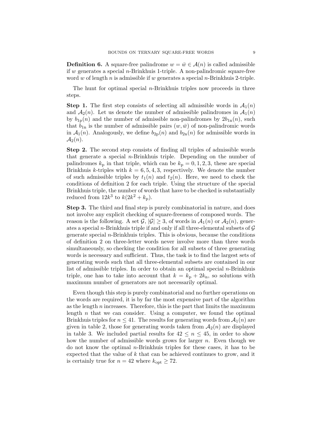**Definition 6.** A square-free palindrome  $w = \overline{w} \in \mathcal{A}(n)$  is called admissible if w generates a special  $n$ -Brinkhuis 1-triple. A non-palindromic square-free word w of length n is admissible if w generates a special n-Brinkhuis 2-triple.

The hunt for optimal special  $n$ -Brinkhuis triples now proceeds in three steps.

**Step 1.** The first step consists of selecting all admissible words in  $\mathcal{A}_1(n)$ and  $A_2(n)$ . Let us denote the number of admissible palindromes in  $A_1(n)$ by  $b_{1p}(n)$  and the number of admissible non-palindromes by  $2b_{1n}(n)$ , such that  $b_{1n}$  is the number of admissible pairs  $(w, \bar{w})$  of non-palindromic words in  $A_1(n)$ . Analogously, we define  $b_{2p}(n)$  and  $b_{2n}(n)$  for admissible words in  $\mathcal{A}_2(n)$ .

Step 2. The second step consists of finding all triples of admissible words that generate a special n-Brinkhuis triple. Depending on the number of palindromes  $k_p$  in that triple, which can be  $k_p = 0, 1, 2, 3$ , these are special Brinkhuis k-triples with  $k = 6, 5, 4, 3$ , respectively. We denote the number of such admissible triples by  $t_1(n)$  and  $t_2(n)$ . Here, we need to check the conditions of definition 2 for each triple. Using the structure of the special Brinkhuis triple, the number of words that have to be checked is substantially reduced from  $12k^3$  to  $k(2k^2 + k_p)$ .

Step 3. The third and final step is purely combinatorial in nature, and does not involve any explicit checking of square-freeness of composed words. The reason is the following. A set  $\mathcal{G}, |\mathcal{G}| \geq 3$ , of words in  $\mathcal{A}_1(n)$  or  $\mathcal{A}_2(n)$ , generates a special *n*-Brinkhuis triple if and only if all three-elemental subsets of  $G$ generate special  $n$ -Brinkhuis triples. This is obvious, because the conditions of definition 2 on three-letter words never involve more than three words simultaneously, so checking the condition for all subsets of three generating words is necessary and sufficient. Thus, the task is to find the largest sets of generating words such that all three-elemental subsets are contained in our list of admissible triples. In order to obtain an optimal special  $n$ -Brinkhuis triple, one has to take into account that  $k = k_p + 2k_n$ , so solutions with maximum number of generators are not necessarily optimal.

Even though this step is purely combinatorial and no further operations on the words are required, it is by far the most expensive part of the algorithm as the length  $n$  increases. Therefore, this is the part that limits the maximum length  $n$  that we can consider. Using a computer, we found the optimal Brinkhuis triples for  $n \leq 41$ . The results for generating words from  $\mathcal{A}_1(n)$  are given in table 2, those for generating words taken from  $A_2(n)$  are displayed in table 3. We included partial results for  $42 \leq n \leq 45$ , in order to show how the number of admissible words grows for larger  $n$ . Even though we do not know the optimal n-Brinkhuis triples for these cases, it has to be expected that the value of k that can be achieved continues to grow, and it is certainly true for  $n = 42$  where  $k_{\text{opt}} \geq 72$ .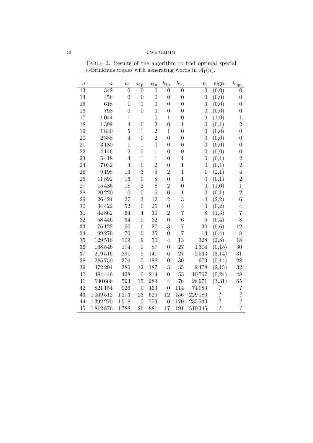| $\boldsymbol{n}$ | $\boldsymbol{a}$ | $a_1$            | $a_{1p}$         | $a_{1n}$       | $b_{1p}$         | $b_{1n}$         | $t_1$            | sign.                    | $k_{\text{opt}}$         |
|------------------|------------------|------------------|------------------|----------------|------------------|------------------|------------------|--------------------------|--------------------------|
| $\overline{13}$  | $\overline{342}$ | $\overline{0}$   | $\theta$         | $\overline{0}$ | $\overline{0}$   | $\overline{0}$   | $\overline{0}$   | (0,0)                    | 0                        |
| 14               | 456              | $\boldsymbol{0}$ | $\overline{0}$   | $\overline{0}$ | $\overline{0}$   | $\boldsymbol{0}$ | $\overline{0}$   | (0,0)                    | $\overline{0}$           |
| 15               | 618              | $\mathbf{1}$     | $\mathbf{1}$     | $\overline{0}$ | $\overline{0}$   | $\boldsymbol{0}$ | $\overline{0}$   | (0,0)                    | $\boldsymbol{0}$         |
| 16               | 798              | $\boldsymbol{0}$ | $\overline{0}$   | $\overline{0}$ | $\boldsymbol{0}$ | $\boldsymbol{0}$ | $\overline{0}$   | (0,0)                    | $\boldsymbol{0}$         |
| 17               | 1044             | $1\,$            | $1\,$            | $\overline{0}$ | $\mathbf 1$      | $\boldsymbol{0}$ | $\boldsymbol{0}$ | (1,0)                    | $1\,$                    |
| 18               | 1392             | $\overline{4}$   | $\boldsymbol{0}$ | $\overline{2}$ | $\boldsymbol{0}$ | $\mathbf{1}$     | $\overline{0}$   | (0,1)                    | $\overline{2}$           |
| 19               | 1830             | $\overline{5}$   | $\mathbf{1}$     | $\overline{2}$ | $\mathbf{1}$     | $\overline{0}$   | $\overline{0}$   | (0,0)                    | $\boldsymbol{0}$         |
| 20               | 2388             | $\overline{4}$   | $\overline{0}$   | $\overline{2}$ | $\boldsymbol{0}$ | $\boldsymbol{0}$ | $\boldsymbol{0}$ | (0,0)                    | $\boldsymbol{0}$         |
| 21               | 3180             | $\mathbf{1}$     | $\mathbf{1}$     | $\overline{0}$ | $\boldsymbol{0}$ | $\overline{0}$   | $\boldsymbol{0}$ | (0,0)                    | $\boldsymbol{0}$         |
| 22               | 4 1 4 6          | $\overline{2}$   | $\boldsymbol{0}$ | $\mathbf{1}$   | $\boldsymbol{0}$ | $\boldsymbol{0}$ | $\overline{0}$   | (0,0)                    | $\boldsymbol{0}$         |
| 23               | 5418             | 3                | $\mathbf{1}$     | $\mathbf{1}$   | $\overline{0}$   | $\mathbf{1}$     | $\overline{0}$   | (0,1)                    | $\overline{2}$           |
| 24               | 7032             | $\overline{4}$   | $\overline{0}$   | $\overline{2}$ | $\boldsymbol{0}$ | $\,1$            | $\boldsymbol{0}$ | (0,1)                    | $\overline{2}$           |
| 25               | 9198             | 13               | 3                | $\overline{5}$ | $\overline{2}$   | $\mathbf{1}$     | $\mathbf{1}$     | (2,1)                    | $\,4\,$                  |
| 26               | 11892            | 16               | $\overline{0}$   | 8              | $\boldsymbol{0}$ | $\,1$            | $\overline{0}$   | (0,1)                    | $\overline{2}$           |
| 27               | 15486            | 18               | $\overline{2}$   | 8              | $\overline{2}$   | $\boldsymbol{0}$ | $\overline{0}$   | (1,0)                    | $1\,$                    |
| 28               | 20 220           | 10               | $\overline{0}$   | $\overline{5}$ | $\overline{0}$   | $\mathbf 1$      | $\overline{0}$   | (0,1)                    | $\overline{2}$           |
| 29               | 26424            | 27               | 3                | 12             | $\overline{2}$   | 3                | $\overline{4}$   | (2,2)                    | $\overline{6}$           |
| 30               | 34422            | 52               | $\overline{0}$   | 26             | $\overline{0}$   | $\overline{4}$   | $\overline{0}$   | (0,2)                    | $\overline{4}$           |
| 31               | 44862            | 64               | $\overline{4}$   | 30             | $\overline{2}$   | $\overline{7}$   | 8                | (1,3)                    | $\overline{7}$           |
| 32               | 58446            | 64               | $\overline{0}$   | 32             | $\boldsymbol{0}$ | $\sqrt{6}$       | $\overline{5}$   | (0,4)                    | 8                        |
| 33               | 76122            | 60               | $\overline{6}$   | 27             | 3                | 7                | 30               | (0,6)                    | 12                       |
| 34               | 99276            | 70               | $\overline{0}$   | 35             | $\boldsymbol{0}$ | $\overline{7}$   | 13               | (0,4)                    | 8                        |
| 35               | 129516           | 109              | 9                | 50             | $\overline{4}$   | 13               | 328              | (2,8)                    | 18                       |
| 36               | 168546           | 174              | $\overline{0}$   | 87             | $\boldsymbol{0}$ | 27               | 1304             | (0,15)                   | 30                       |
| 37               | 219516           | 291              | $9\phantom{.0}$  | 141            | 6                | 27               | 2533             | (3, 14)                  | 31                       |
| 38               | 285750           | 376              | $\overline{0}$   | 188            | $\overline{0}$   | 30               | 973              | (0, 14)                  | 28                       |
| 39               | 372 204          | 386              | 12               | 187            | $\boldsymbol{3}$ | 35               | 2478             | (2,15)                   | 32                       |
| 40               | 484446           | 428              | $\boldsymbol{0}$ | 214            | $\boldsymbol{0}$ | 55               | 10767            | (0, 24)                  | 48                       |
| 41               | 630 666          | 593              | 15               | 289            | $\overline{4}$   | 76               | 28971            | (3,31)                   | 65                       |
| 42               | 821154           | 926              | $\boldsymbol{0}$ | 463            | $\boldsymbol{0}$ | 114              | 74080            | $\ddot{?}$               | $\overline{\mathcal{L}}$ |
| 43               | 1069512          | 1273             | 23               | 625            | 12               | 156              | 229 180          | $\ddot{?}$               | $\overline{\mathcal{L}}$ |
| 44               | 1392270          | 1518             | $\overline{0}$   | 759            | $\boldsymbol{0}$ | 170              | 235 539          | $\ddot{?}$               | $\overline{\mathcal{C}}$ |
| 45               | 1812876          | 1788             | 26               | 881            | 17               | 191              | 510345           | $\overline{\mathcal{C}}$ | $\overline{\mathcal{L}}$ |

Table 2. Results of the algorithm to find optimal special *n*-Brinkhuis triples with generating words in  $A_1(n)$ .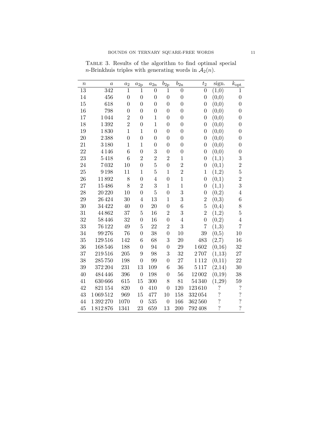| $\it n$         | $\it a$          | $a_2$            | $a_{2p}$         | $a_{2n}$         | $b_{2p}$         | $b_{2n}$       | $t_2$            | sign.                    | $k_{\text{opt}}$         |
|-----------------|------------------|------------------|------------------|------------------|------------------|----------------|------------------|--------------------------|--------------------------|
| $\overline{13}$ | $\overline{342}$ | $\mathbf{1}$     | 1                | $\overline{0}$   | 1                | $\overline{0}$ | $\overline{0}$   | (1,0)                    | 1                        |
| 14              | 456              | $\overline{0}$   | $\overline{0}$   | $\boldsymbol{0}$ | $\overline{0}$   | $\overline{0}$ | $\boldsymbol{0}$ | (0,0)                    | $\boldsymbol{0}$         |
| 15              | 618              | $\overline{0}$   | $\overline{0}$   | $\boldsymbol{0}$ | $\overline{0}$   | $\overline{0}$ | $\overline{0}$   | (0,0)                    | $\boldsymbol{0}$         |
| 16              | 798              | $\boldsymbol{0}$ | $\overline{0}$   | $\boldsymbol{0}$ | $\overline{0}$   | $\overline{0}$ | $\overline{0}$   | (0,0)                    | $\boldsymbol{0}$         |
| 17              | 1044             | $\overline{2}$   | $\overline{0}$   | $\mathbf{1}$     | $\overline{0}$   | $\overline{0}$ | $\boldsymbol{0}$ | (0,0)                    | $\boldsymbol{0}$         |
| 18              | 1392             | $\overline{2}$   | $\boldsymbol{0}$ | $\mathbf{1}$     | $\overline{0}$   | $\overline{0}$ | $\boldsymbol{0}$ | (0,0)                    | $\boldsymbol{0}$         |
| 19              | 1830             | $\mathbf{1}$     | $\mathbf 1$      | $\overline{0}$   | $\overline{0}$   | $\overline{0}$ | $\boldsymbol{0}$ | (0,0)                    | $\overline{0}$           |
| 20              | 2388             | $\overline{0}$   | $\overline{0}$   | $\boldsymbol{0}$ | $\overline{0}$   | $\overline{0}$ | $\boldsymbol{0}$ | (0,0)                    | $\boldsymbol{0}$         |
| 21              | 3180             | $\mathbf{1}$     | $\mathbf{1}$     | $\boldsymbol{0}$ | $\overline{0}$   | $\overline{0}$ | $\overline{0}$   | (0,0)                    | $\boldsymbol{0}$         |
| 22              | 4 1 4 6          | 6                | $\boldsymbol{0}$ | 3                | $\boldsymbol{0}$ | $\overline{0}$ | $\boldsymbol{0}$ | (0,0)                    | $\boldsymbol{0}$         |
| 23              | 5418             | 6                | $\overline{2}$   | $\overline{2}$   | $\overline{2}$   | $\mathbf 1$    | $\overline{0}$   | (1,1)                    | 3                        |
| 24              | 7032             | 10               | $\overline{0}$   | $\overline{5}$   | $\overline{0}$   | $\overline{2}$ | $\boldsymbol{0}$ | (0,1)                    | $\overline{2}$           |
| 25              | 9198             | 11               | $\mathbf{1}$     | $\overline{5}$   | $\mathbf{1}$     | $\overline{2}$ | $\mathbf{1}$     | (1,2)                    | $\overline{5}$           |
| 26              | 11892            | 8                | $\boldsymbol{0}$ | $\overline{4}$   | $\boldsymbol{0}$ | $\mathbf{1}$   | $\boldsymbol{0}$ | (0,1)                    | $\overline{2}$           |
| 27              | 15486            | 8                | $\overline{2}$   | 3                | $\mathbf{1}$     | $\mathbf 1$    | $\boldsymbol{0}$ | (1,1)                    | 3                        |
| 28              | 20 220           | 10               | $\overline{0}$   | $\overline{5}$   | $\boldsymbol{0}$ | 3              | $\boldsymbol{0}$ | (0,2)                    | $\overline{4}$           |
| 29              | 26424            | 30               | $\overline{4}$   | 13               | $\mathbf{1}$     | 3              | $\overline{2}$   | (0,3)                    | $\boldsymbol{6}$         |
| 30              | 34422            | 40               | $\boldsymbol{0}$ | 20               | $\boldsymbol{0}$ | 6              | $\overline{5}$   | (0,4)                    | 8                        |
| 31              | 44862            | 37               | 5                | 16               | $\overline{2}$   | 3              | $\overline{2}$   | (1,2)                    | $\overline{5}$           |
| 32              | 58446            | 32               | $\boldsymbol{0}$ | 16               | $\boldsymbol{0}$ | $\,4\,$        | $\overline{0}$   | (0,2)                    | $\,4\,$                  |
| 33              | 76 1 22          | 49               | 5                | 22               | $\overline{2}$   | 3              | 7                | (1,3)                    | 7                        |
| 34              | 99276            | 76               | $\overline{0}$   | 38               | $\boldsymbol{0}$ | 10             | 39               | (0,5)                    | 10                       |
| 35              | 129516           | 142              | 6                | 68               | 3                | 20             | 483              | (2,7)                    | 16                       |
| 36              | 168546           | 188              | $\overline{0}$   | 94               | $\boldsymbol{0}$ | 29             | 1602             | (0,16)                   | 32                       |
| 37              | 219516           | 205              | 9                | 98               | 3                | 32             | 2707             | (1,13)                   | 27                       |
| 38              | 285750           | 198              | $\overline{0}$   | 99               | $\boldsymbol{0}$ | 27             | 1112             | (0,11)                   | 22                       |
| 39              | 372 204          | 231              | 13               | 109              | $\overline{6}$   | 36             | 5117             | (2,14)                   | 30                       |
| 40              | 484 446          | 396              | $\boldsymbol{0}$ | 198              | $\boldsymbol{0}$ | 56             | 12002            | (0,19)                   | 38                       |
| 41              | 630 666          | 615              | 15               | 300              | 8                | 81             | 54340            | (1,29)                   | 59                       |
| 42              | 821 154          | 820              | $\boldsymbol{0}$ | 410              | $\boldsymbol{0}$ | 120            | 123610           | $\ddot{?}$               | $\cdot$                  |
| 43              | 1069512          | 969              | 15               | 477              | 10               | 158            | 332054           | $\ddot{?}$               | $\ddot{\cdot}$           |
| 44              | 1392270          | 1070             | $\overline{0}$   | 535              | $\overline{0}$   | 166            | 362560           | $\overline{\mathcal{E}}$ | $\overline{\cdot}$       |
| 45              | 1812876          | 1341             | 23               | 659              | 13               | 200            | 792408           | $\overline{?}$           | $\overline{\mathcal{C}}$ |

Table 3. Results of the algorithm to find optimal special *n*-Brinkhuis triples with generating words in  $A_2(n)$ .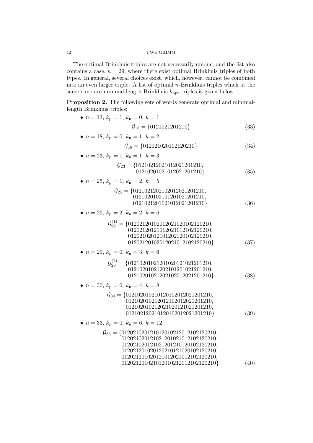The optimal Brinkhuis triples are not necessarily unique, and the list also contains a case,  $n = 29$ , where there exist optimal Brinkhuis triples of both types. In general, several choices exist, which, however, cannot be combined into an even larger triple. A list of optimal n-Brinkhuis triples which at the same time are minimal-length Brinkhuis  $k_{opt}$  triples is given below.

Proposition 2. The following sets of words generate optimal and minimallength Brinkhuis triples:

| • $n = 13, k_p = 1, k_n = 0, k = 1$ :                                                                                                                                                                                                                   |      |
|---------------------------------------------------------------------------------------------------------------------------------------------------------------------------------------------------------------------------------------------------------|------|
| $\mathcal{G}_{13} = \{0121021201210\}$                                                                                                                                                                                                                  | (33) |
| • $n = 18$ , $k_p = 0$ , $k_n = 1$ , $k = 2$ :                                                                                                                                                                                                          |      |
| $\mathcal{G}_{18} = \{012021020102120210\}$                                                                                                                                                                                                             | (34) |
| • $n = 23$ , $k_p = 1$ , $k_n = 1$ , $k = 3$ :                                                                                                                                                                                                          |      |
| $\mathcal{G}_{23} = \{01210212021012021201210,$<br>01210201021012021201210}                                                                                                                                                                             | (35) |
| • $n = 25$ , $k_p = 1$ , $k_n = 2$ , $k = 5$ :                                                                                                                                                                                                          |      |
| $\mathcal{G}_{25} = \{0121021202102012021201210, \\ 0121020102101201021201210,$<br>0121021201021012021201210}                                                                                                                                           | (36) |
| • $n = 29$ , $k_p = 2$ , $k_n = 2$ , $k = 6$ :                                                                                                                                                                                                          |      |
| $\mathcal{G}_{29}^{(1)} = \{01202120102012021020102120210,$<br>01202120121012021012102120210,<br>01202102012101202120102120210,<br>01202120102012021012102120210}                                                                                       | (37) |
| • $n = 29$ , $k_p = 0$ , $k_n = 3$ , $k = 6$ :                                                                                                                                                                                                          |      |
| $\mathcal{G}_{29}^{(2)} = \{01210201021201020121021201210,$<br>01210201021202101201021201210,<br>01210201021202102012021201210}                                                                                                                         | (38) |
| • $n = 30$ , $k_p = 0$ , $k_n = 4$ , $k = 8$ :                                                                                                                                                                                                          |      |
| $\mathcal{G}_{30} = \{012102010210120102012021201210,$<br>012102010212012102012021201210,<br>012102010212021020121021201210,<br>012102120210120102012021201210}                                                                                         | (39) |
| • $n = 33, k_p = 0, k_n = 6, k = 12$ :                                                                                                                                                                                                                  |      |
| $\mathcal{G}_{33} = \{012021020121012010212012102120210,$<br>012021020121021201021012102120210,<br>012021020121021201210120102120210,<br>012021201020120210121020102120210,<br>012021201020121012021012102120210,<br>012021201021012010212012102120210} | (40) |
|                                                                                                                                                                                                                                                         |      |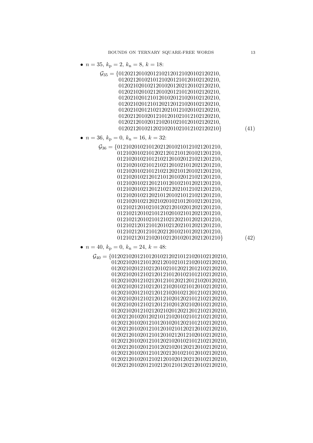- $n = 35, k_p = 2, k_n = 8, k = 18$ :
	- $\mathcal{G}_{35} = \{01202120102012102120121020102120210,$ , , , , , , , , } (41)

• 
$$
n = 36, k_p = 0, k_n = 16, k = 32
$$
:

 $\mathcal{G}_{36} = \{012102010210120212010210121021201210,$ , , , , , , , , , , , , , , } (42)

• 
$$
n = 40
$$
,  $k_p = 0$ ,  $k_n = 24$ ,  $k = 48$ :

 $\mathcal{G}_{40} = \{0120210201210120102120210121020102120210,$ , , , , , , , , , , , , , , , , , ,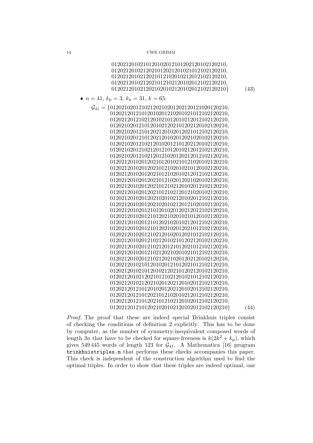| 0120212010210120102012101202120102120210,<br>0120212010212021012021201021012102120210,<br>0120212010212021012102010212012102120210,<br>0120212010212021012102120102012102120210,<br>0120212010212021020102120102012102120210} | (43) |
|-------------------------------------------------------------------------------------------------------------------------------------------------------------------------------------------------------------------------------|------|
| • $n = 41, k_p = 3, k_n = 31, k = 65$ :                                                                                                                                                                                       |      |
| $\mathcal{G}_{41} = \{01202102012102120210201202120121020120210,$                                                                                                                                                             |      |
| 01202120121012010201210201021012102120210,                                                                                                                                                                                    |      |
| 01202120121021201021012010212012102120210,                                                                                                                                                                                    |      |
| 01202102012101201021202101202120102120210,                                                                                                                                                                                    |      |
| 01202102012101202120102012021012102120210,                                                                                                                                                                                    |      |
| 01202102012101202120102012021020102120210,                                                                                                                                                                                    |      |
| 01202102012102120102012101202120102120210,                                                                                                                                                                                    |      |
| 01202102012102120121012010212012102120210,                                                                                                                                                                                    |      |
| 01202102012102120121020120212012102120210,                                                                                                                                                                                    |      |
| 01202120102012021012010210121020102120210,                                                                                                                                                                                    |      |
| $01202120102012021012102010210120102120210,$                                                                                                                                                                                  |      |
| 01202120102012021012102010212012102120210,                                                                                                                                                                                    |      |
| 01202120102012021012102012021020102120210,                                                                                                                                                                                    |      |
| 01202120102012021012102120102012102120210,                                                                                                                                                                                    |      |
| 01202120102012021012102120121020102120210,                                                                                                                                                                                    |      |
| 01202120102012021020102120102012102120210,                                                                                                                                                                                    |      |
| 01202120102012021020102120121020102120210,                                                                                                                                                                                    |      |
| 01202120102012101201020120212012102120210,                                                                                                                                                                                    |      |
| 01202120102012101202102010210120102120210,                                                                                                                                                                                    |      |
| 01202120102012101202102010212012102120210,                                                                                                                                                                                    |      |
| 01202120102012101202102012021012102120210,                                                                                                                                                                                    |      |
| 01202120102012102120102012021012102120210,                                                                                                                                                                                    |      |
| 01202120102012102120102101202120102120210,                                                                                                                                                                                    |      |
| 01202120102012102120121012021012102120210,                                                                                                                                                                                    |      |
| 01202120102012102120210201021012102120210,                                                                                                                                                                                    |      |
| 01202120102012102120210201202120102120210,                                                                                                                                                                                    |      |
| 01202120102101201020121012021012102120210,                                                                                                                                                                                    |      |
| 01202120102101201021202101202120102120210,                                                                                                                                                                                    |      |
| 01202120102120210121021201021012102120210,<br>01202120102120210201202120102012102120210,                                                                                                                                      |      |
| 01202120121012010201202120102012102120210,                                                                                                                                                                                    |      |
| 01202120121012021012102010212012102120210,                                                                                                                                                                                    |      |
| 01202120121012021012102120102012102120210,                                                                                                                                                                                    |      |
| 01202120121012021020102120102012102120210}                                                                                                                                                                                    | (44) |
|                                                                                                                                                                                                                               |      |

Proof. The proof that these are indeed special Brinkhuis triples consist of checking the conditions of definition 2 explicitly. This has to be done by computer, as the number of symmetry-inequivalent composed words of length 3n that have to be checked for square-freeness is  $k(2k^2 + k_p)$ , which gives 549 445 words of length 123 for  $G_{41}$ . A Mathematica [16] program brinkhuistriples.m that performs these checks accompanies this paper. This check is independent of the construction algorithm used to find the optimal triples. In order to show that these triples are indeed optimal, one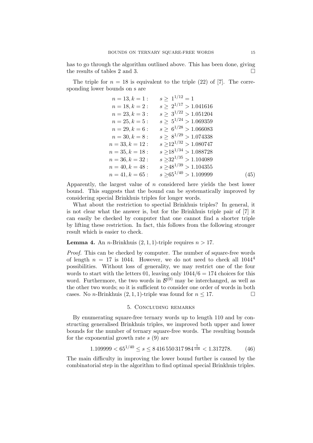has to go through the algorithm outlined above. This has been done, giving the results of tables 2 and 3.

The triple for  $n = 18$  is equivalent to the triple (22) of [7]. The corresponding lower bounds on s are

| $n = 13, k = 1$ : | $s > 1^{1/12} = 1$         |      |
|-------------------|----------------------------|------|
| $n = 18, k = 2:$  | $s > 2^{1/17} > 1.041616$  |      |
| $n = 23, k = 3:$  | $s > 3^{1/22} > 1.051204$  |      |
| $n = 25, k = 5:$  | $s > 5^{1/24} > 1.069359$  |      |
| $n = 29, k = 6:$  | $s > 6^{1/28} > 1.066083$  |      |
| $n = 30, k = 8:$  | $s > 8^{1/29} > 1.074338$  |      |
| $n = 33, k = 12:$ | $s > 12^{1/32} > 1.080747$ |      |
| $n=35, k=18:$     | $s > 18^{1/34} > 1.088728$ |      |
| $n = 36, k = 32:$ | $s > 32^{1/35} > 1.104089$ |      |
| $n = 40, k = 48:$ | $s > 48^{1/39} > 1.104355$ |      |
| $n = 41, k = 65:$ | $s > 65^{1/40} > 1.109999$ | (45) |

Apparently, the largest value of n considered here yields the best lower bound. This suggests that the bound can be systematically improved by considering special Brinkhuis triples for longer words.

What about the restriction to spectial Brinkhuis triples? In general, it is not clear what the answer is, but for the Brinkhuis triple pair of [7] it can easily be checked by computer that one cannot find a shorter triple by lifting these restriction. In fact, this follows from the following stronger result which is easier to check.

## **Lemma 4.** An *n*-Brinkhuis  $(2, 1, 1)$ -triple requires  $n > 17$ .

Proof. This can be checked by computer. The number of square-free words of length  $n = 17$  is 1044. However, we do not need to check all  $1044<sup>4</sup>$ possibilities. Without loss of generality, we may restrict one of the four words to start with the letters 01, leaving only  $1044/6 = 174$  choices for this word. Furthermore, the two words in  $\mathcal{B}^{(0)}$  may be interchanged, as well as the other two words; so it is sufficient to consider one order of words in both cases. No *n*-Brinkhuis  $(2, 1, 1)$ -triple was found for  $n \leq 17$ .

#### 5. Concluding remarks

By enumerating square-free ternary words up to length 110 and by constructing generalised Brinkhuis triples, we improved both upper and lower bounds for the number of ternary square-free words. The resulting bounds for the exponential growth rate  $s(9)$  are

$$
1.109999 < 65^{1/40} \le s \le 8416\,550\,317\,984^{\frac{1}{108}} < 1.317278. \tag{46}
$$

The main difficulty in improving the lower bound further is caused by the combinatorial step in the algorithm to find optimal special Brinkhuis triples.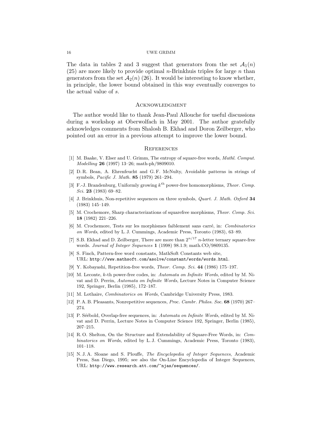The data in tables 2 and 3 suggest that generators from the set  $\mathcal{A}_1(n)$  $(25)$  are more likely to provide optimal *n*-Brinkhuis triples for large *n* than generators from the set  $\mathcal{A}_2(n)$  (26). It would be interesting to know whether, in principle, the lower bound obtained in this way eventually converges to the actual value of s.

#### **ACKNOWLEDGMENT**

The author would like to thank Jean-Paul Allouche for useful discussions during a workshop at Oberwolfach in May 2001. The author gratefully acknowledges comments from Shalosh B. Ekhad and Doron Zeilberger, who pointed out an error in a previous attempt to improve the lower bound.

#### **REFERENCES**

- [1] M. Baake, V. Elser and U. Grimm, The entropy of square-free words, Mathl. Comput. Modelling 26 (1997) 13–26; math-ph/9809010.
- [2] D. R. Bean, A. Ehrenfeucht and G. F. McNulty, Avoidable patterns in strings of symbols, Pacific J. Math. 85 (1979) 261–294.
- [3] F.-J. Brandenburg, Uniformly growing  $k^{\text{th}}$  power-free homomorphisms, Theor. Comp. Sci. 23 (1983) 69–82.
- [4] J. Brinkhuis, Non-repetitive sequences on three symbols, Quart. J. Math. Oxford 34 (1983) 145–149.
- [5] M. Crochemore, Sharp characterizations of squarefree morphisms, Theor. Comp. Sci. 18 (1982) 221–226.
- [6] M. Crochemore, Tests sur les morphismes faiblement sans carré, in: Combinatorics on Words, edited by L. J. Cummings, Academic Press, Toronto (1983), 63–89.
- [7] S.B. Ekhad and D. Zeilberger, There are more than  $2^{n/17}$  n-letter ternary square-free words. Journal of Integer Sequences 1 (1998) 98.1.9; math.CO/9809135.
- [8] S. Finch, Pattern-free word constants, MathSoft Constants web site, URL: http://www.mathsoft.com/asolve/constant/words/words.html.
- [9] Y. Kobayashi, Repetition-free words, Theor. Comp. Sci. 44 (1986) 175–197.
- [10] M. Leconte, k-th power-free codes, in: Automata on Infinite Words, edited by M. Nivat and D. Perrin, Automata on Infinite Words, Lecture Notes in Computer Science 192, Springer, Berlin (1985), 172–187.
- [11] M. Lothaire, *Combinatorics on Words*, Cambridge University Press, 1983.
- [12] P. A. B. Pleasants, Nonrepetitive sequences, Proc. Cambr. Philos. Soc. 68 (1970) 267– 274.
- [13] P. Séébold, Overlap-free sequences, in: Automata on Infinite Words, edited by M. Nivat and D. Perrin, Lecture Notes in Computer Science 192, Springer, Berlin (1985), 207–215.
- [14] R. O. Shelton, On the Structure and Extendability of Square-Free Words, in: Combinatorics on Words, edited by L. J. Cummings, Academic Press, Toronto (1983), 101–118.
- [15] N. J. A. Sloane and S. Plouffe, The Encyclopedia of Integer Sequences, Academic Press, San Diego, 1995; see also the On-Line Encyclopedia of Integer Sequences, URL: http://www.research.att.com/~njas/sequences/.